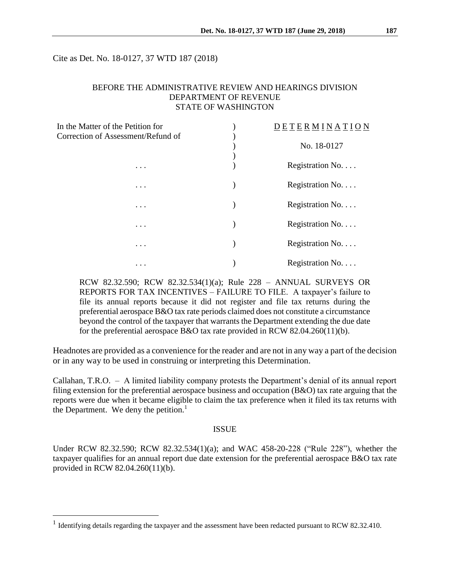Cite as Det. No. 18-0127, 37 WTD 187 (2018)

## BEFORE THE ADMINISTRATIVE REVIEW AND HEARINGS DIVISION DEPARTMENT OF REVENUE STATE OF WASHINGTON

| In the Matter of the Petition for  | $D E F R M I N Q N$ |  |
|------------------------------------|---------------------|--|
| Correction of Assessment/Refund of | No. 18-0127         |  |
| $\cdots$                           | Registration No.    |  |
| $\cdots$                           | Registration No.    |  |
|                                    | Registration No.    |  |
| $\cdots$                           | Registration No.    |  |
| $\cdots$                           |                     |  |
| $\cdots$                           | Registration No.    |  |
| $\cdots$                           | Registration No     |  |

RCW 82.32.590; RCW 82.32.534(1)(a); Rule 228 – ANNUAL SURVEYS OR REPORTS FOR TAX INCENTIVES – FAILURE TO FILE. A taxpayer's failure to file its annual reports because it did not register and file tax returns during the preferential aerospace B&O tax rate periods claimed does not constitute a circumstance beyond the control of the taxpayer that warrants the Department extending the due date for the preferential aerospace B&O tax rate provided in RCW 82.04.260(11)(b).

Headnotes are provided as a convenience for the reader and are not in any way a part of the decision or in any way to be used in construing or interpreting this Determination.

Callahan, T.R.O. – A limited liability company protests the Department's denial of its annual report filing extension for the preferential aerospace business and occupation (B&O) tax rate arguing that the reports were due when it became eligible to claim the tax preference when it filed its tax returns with the Department. We deny the petition.<sup>1</sup>

### ISSUE

Under RCW 82.32.590; RCW 82.32.534(1)(a); and WAC 458-20-228 ("Rule 228"), whether the taxpayer qualifies for an annual report due date extension for the preferential aerospace B&O tax rate provided in RCW 82.04.260(11)(b).

<sup>&</sup>lt;sup>1</sup> Identifying details regarding the taxpayer and the assessment have been redacted pursuant to RCW 82.32.410.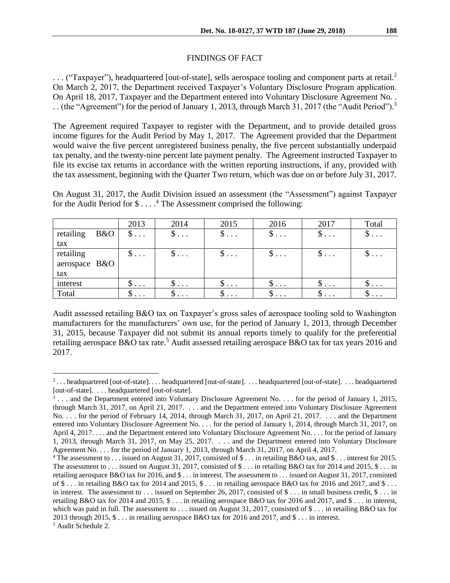#### FINDINGS OF FACT

... ("Taxpayer"), headquartered [out-of-state], sells aerospace tooling and component parts at retail.<sup>2</sup> On March 2, 2017, the Department received Taxpayer's Voluntary Disclosure Program application. On April 18, 2017, Taxpayer and the Department entered into Voluntary Disclosure Agreement No. . .. (the "Agreement") for the period of January 1, 2013, through March 31, 2017 (the "Audit Period").<sup>3</sup>

The Agreement required Taxpayer to register with the Department, and to provide detailed gross income figures for the Audit Period by May 1, 2017. The Agreement provided that the Department would waive the five percent unregistered business penalty, the five percent substantially underpaid tax penalty, and the twenty-nine percent late payment penalty. The Agreement instructed Taxpayer to file its excise tax returns in accordance with the written reporting instructions, if any, provided with the tax assessment, beginning with the Quarter Two return, which was due on or before July 31, 2017.

On August 31, 2017, the Audit Division issued an assessment (the "Assessment") against Taxpayer for the Audit Period for \$ . . . . <sup>4</sup> The Assessment comprised the following:

|               |     | 2013                  | 2014                             | 2015                             | 2016                             | 2017                             | Total          |
|---------------|-----|-----------------------|----------------------------------|----------------------------------|----------------------------------|----------------------------------|----------------|
| retailing     | B&O | $\$\ldots$            | $\mathfrak{d} \ldots$            | $\$\ldots$                       | $\$\ldots$                       | $\mathbb{S}$                     | $\$\ldots$     |
| tax           |     |                       |                                  |                                  |                                  |                                  |                |
| retailing     |     | $\$\ldots$            | $\mathfrak{d} \cdot \cdot \cdot$ | $\S$                             | $\mathfrak{D} \cdot \cdot \cdot$ | $\mathfrak{d} \cdot \cdot \cdot$ | φ              |
| aerospace B&O |     |                       |                                  |                                  |                                  |                                  |                |
| tax           |     |                       |                                  |                                  |                                  |                                  |                |
| interest      |     | $\mathfrak{d} \ldots$ | $\mathfrak{D}$                   | $\mathfrak{D} \cdot \cdot \cdot$ | $\mathfrak{d} \ldots$            | $\mathfrak{D}$                   | $\mathfrak{D}$ |
| Total         |     | $\mathcal{D}$         | $\mathfrak{D}$                   | $\mathcal{D}$                    | $\mathcal{D}$                    | $\mathfrak{D}$                   | $\mathcal{D}$  |

Audit assessed retailing B&O tax on Taxpayer's gross sales of aerospace tooling sold to Washington manufacturers for the manufacturers' own use, for the period of January 1, 2013, through December 31, 2015, because Taxpayer did not submit its annual reports timely to qualify for the preferential retailing aerospace B&O tax rate.<sup>5</sup> Audit assessed retailing aerospace B&O tax for tax years 2016 and 2017.

<sup>2</sup> . . . headquartered [out-of-state]. . . . headquartered [out-of-state]. . . . headquartered [out-of-state]. . . . headquartered [out-of-state]. . . . headquartered [out-of-state].

 $3 \ldots$  and the Department entered into Voluntary Disclosure Agreement No. . . . for the period of January 1, 2015, through March 31, 2017, on April 21, 2017. . . . and the Department entered into Voluntary Disclosure Agreement No. . . . for the period of February 14, 2014, through March 31, 2017, on April 21, 2017. . . . and the Department entered into Voluntary Disclosure Agreement No. . . . for the period of January 1, 2014, through March 31, 2017, on April 4, 2017. . . . and the Department entered into Voluntary Disclosure Agreement No. . . . for the period of January 1, 2013, through March 31, 2017, on May 25, 2017. . . . and the Department entered into Voluntary Disclosure Agreement No. . . . for the period of January 1, 2013, through March 31, 2017, on April 4, 2017.

<sup>4</sup> The assessment to . . . issued on August 31, 2017, consisted of \$ . . . in retailing B&O tax, and \$ . . . interest for 2015. The assessment to  $\ldots$  issued on August 31, 2017, consisted of \$  $\ldots$  in retailing B&O tax for 2014 and 2015, \$  $\ldots$  in retailing aerospace B&O tax for 2016, and \$ . . . in interest. The assessment to . . . issued on August 31, 2017, consisted of  $\$\ldots$  in retailing B&O tax for 2014 and 2015,  $\$\ldots$  in retailing aerospace B&O tax for 2016 and 2017, and  $\$\ldots$ in interest. The assessment to . . . issued on September 26, 2017, consisted of \$ . . . in small business credit, \$ . . . in retailing B&O tax for 2014 and 2015, \$ . . . in retailing aerospace B&O tax for 2016 and 2017, and \$ . . . in interest, which was paid in full. The assessment to . . . issued on August 31, 2017, consisted of \$ . . . in retailing B&O tax for 2013 through 2015, \$ . . . in retailing aerospace B&O tax for 2016 and 2017, and \$ . . . in interest. <sup>5</sup> Audit Schedule 2.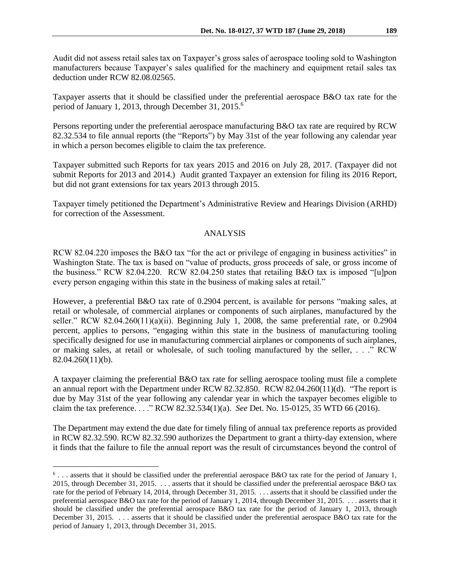Audit did not assess retail sales tax on Taxpayer's gross sales of aerospace tooling sold to Washington manufacturers because Taxpayer's sales qualified for the machinery and equipment retail sales tax deduction under RCW 82.08.02565.

Taxpayer asserts that it should be classified under the preferential aerospace B&O tax rate for the period of January 1, 2013, through December 31, 2015. 6

Persons reporting under the preferential aerospace manufacturing B&O tax rate are required by RCW 82.32.534 to file annual reports (the "Reports") by May 31st of the year following any calendar year in which a person becomes eligible to claim the tax preference.

Taxpayer submitted such Reports for tax years 2015 and 2016 on July 28, 2017. (Taxpayer did not submit Reports for 2013 and 2014.) Audit granted Taxpayer an extension for filing its 2016 Report, but did not grant extensions for tax years 2013 through 2015.

Taxpayer timely petitioned the Department's Administrative Review and Hearings Division (ARHD) for correction of the Assessment.

### ANALYSIS

RCW 82.04.220 imposes the B&O tax "for the act or privilege of engaging in business activities" in Washington State. The tax is based on "value of products, gross proceeds of sale, or gross income of the business." RCW 82.04.220. RCW 82.04.250 states that retailing B&O tax is imposed "[u]pon every person engaging within this state in the business of making sales at retail."

However, a preferential B&O tax rate of 0.2904 percent, is available for persons "making sales, at retail or wholesale, of commercial airplanes or components of such airplanes, manufactured by the seller." RCW 82.04.260(11)(a)(ii). Beginning July 1, 2008, the same preferential rate, or 0.2904 percent, applies to persons, "engaging within this state in the business of manufacturing tooling specifically designed for use in manufacturing commercial airplanes or components of such airplanes, or making sales, at retail or wholesale, of such tooling manufactured by the seller, . . ." RCW 82.04.260(11)(b).

A taxpayer claiming the preferential B&O tax rate for selling aerospace tooling must file a complete an annual report with the Department under RCW 82.32.850. RCW 82.04.260(11)(d). "The report is due by May 31st of the year following any calendar year in which the taxpayer becomes eligible to claim the tax preference. . . ." RCW 82.32.534(1)(a). *See* Det. No. 15-0125, 35 WTD 66 (2016).

The Department may extend the due date for timely filing of annual tax preference reports as provided in RCW 82.32.590. RCW 82.32.590 authorizes the Department to grant a thirty-day extension, where it finds that the failure to file the annual report was the result of circumstances beyond the control of

 $6...$  asserts that it should be classified under the preferential aerospace B&O tax rate for the period of January 1, 2015, through December 31, 2015. . . . asserts that it should be classified under the preferential aerospace B&O tax rate for the period of February 14, 2014, through December 31, 2015. . . . asserts that it should be classified under the preferential aerospace B&O tax rate for the period of January 1, 2014, through December 31, 2015. . . . asserts that it should be classified under the preferential aerospace B&O tax rate for the period of January 1, 2013, through December 31, 2015. . . . asserts that it should be classified under the preferential aerospace B&O tax rate for the period of January 1, 2013, through December 31, 2015.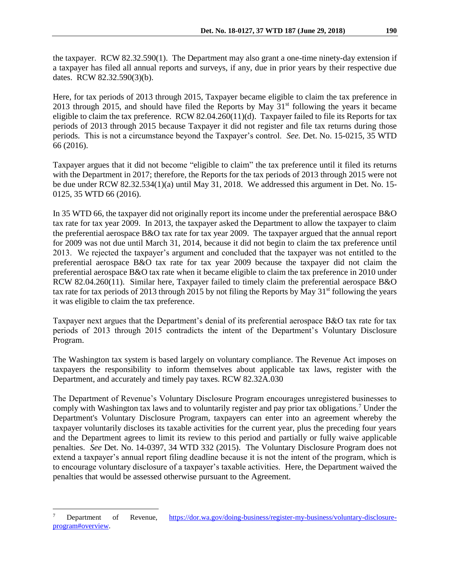Here, for tax periods of 2013 through 2015, Taxpayer became eligible to claim the tax preference in 2013 through 2015, and should have filed the Reports by May  $31<sup>st</sup>$  following the years it became eligible to claim the tax preference. RCW 82.04.260(11)(d). Taxpayer failed to file its Reports for tax periods of 2013 through 2015 because Taxpayer it did not register and file tax returns during those periods. This is not a circumstance beyond the Taxpayer's control. *See.* Det. No. 15-0215, 35 WTD 66 (2016).

Taxpayer argues that it did not become "eligible to claim" the tax preference until it filed its returns with the Department in 2017; therefore, the Reports for the tax periods of 2013 through 2015 were not be due under RCW 82.32.534(1)(a) until May 31, 2018. We addressed this argument in Det. No. 15- 0125, 35 WTD 66 (2016).

In 35 WTD 66, the taxpayer did not originally report its income under the preferential aerospace B&O tax rate for tax year 2009. In 2013, the taxpayer asked the Department to allow the taxpayer to claim the preferential aerospace B&O tax rate for tax year 2009. The taxpayer argued that the annual report for 2009 was not due until March 31, 2014, because it did not begin to claim the tax preference until 2013. We rejected the taxpayer's argument and concluded that the taxpayer was not entitled to the preferential aerospace B&O tax rate for tax year 2009 because the taxpayer did not claim the preferential aerospace B&O tax rate when it became eligible to claim the tax preference in 2010 under RCW 82.04.260(11). Similar here, Taxpayer failed to timely claim the preferential aerospace B&O tax rate for tax periods of 2013 through 2015 by not filing the Reports by May 31<sup>st</sup> following the years it was eligible to claim the tax preference.

Taxpayer next argues that the Department's denial of its preferential aerospace B&O tax rate for tax periods of 2013 through 2015 contradicts the intent of the Department's Voluntary Disclosure Program.

The Washington tax system is based largely on voluntary compliance. The Revenue Act imposes on taxpayers the responsibility to inform themselves about applicable tax laws, register with the Department, and accurately and timely pay taxes. RCW 82.32A.030

The Department of Revenue's Voluntary Disclosure Program encourages unregistered businesses to comply with Washington tax laws and to voluntarily register and pay prior tax obligations.<sup>7</sup> Under the Department's Voluntary Disclosure Program, taxpayers can enter into an agreement whereby the taxpayer voluntarily discloses its taxable activities for the current year, plus the preceding four years and the Department agrees to limit its review to this period and partially or fully waive applicable penalties. *See* Det. No. 14-0397, 34 WTD 332 (2015). The Voluntary Disclosure Program does not extend a taxpayer's annual report filing deadline because it is not the intent of the program, which is to encourage voluntary disclosure of a taxpayer's taxable activities. Here, the Department waived the penalties that would be assessed otherwise pursuant to the Agreement.

<sup>7</sup> Department of Revenue, [https://dor.wa.gov/doing-business/register-my-business/voluntary-disclosure](https://dor.wa.gov/doing-business/register-my-business/voluntary-disclosure-program#overview)[program#overview.](https://dor.wa.gov/doing-business/register-my-business/voluntary-disclosure-program#overview)